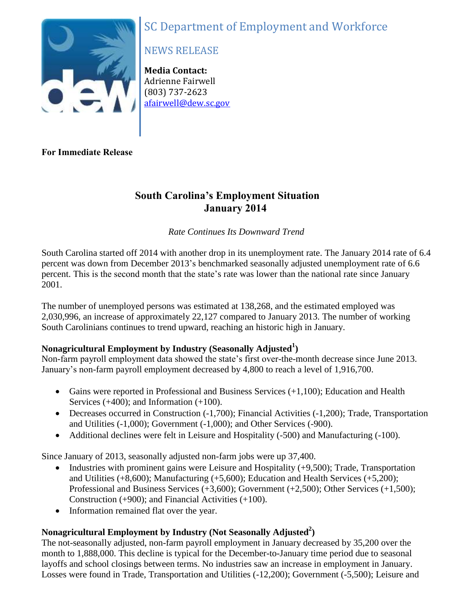# SC Department of Employment and Workforce



# NEWS RELEASE

**Media Contact:** Adrienne Fairwell (803) 737-2623 [afairwell@dew.sc.gov](mailto:afairwell@dew.sc.gov)

**For Immediate Release**

# **South Carolina's Employment Situation January 2014**

### *Rate Continues Its Downward Trend*

South Carolina started off 2014 with another drop in its unemployment rate. The January 2014 rate of 6.4 percent was down from December 2013's benchmarked seasonally adjusted unemployment rate of 6.6 percent. This is the second month that the state's rate was lower than the national rate since January 2001.

The number of unemployed persons was estimated at 138,268, and the estimated employed was 2,030,996, an increase of approximately 22,127 compared to January 2013. The number of working South Carolinians continues to trend upward, reaching an historic high in January.

## **Nonagricultural Employment by Industry (Seasonally Adjusted<sup>1</sup> )**

Non-farm payroll employment data showed the state's first over-the-month decrease since June 2013. January's non-farm payroll employment decreased by 4,800 to reach a level of 1,916,700.

- Gains were reported in Professional and Business Services  $(+1,100)$ ; Education and Health Services (+400); and Information (+100).
- Decreases occurred in Construction (-1,700); Financial Activities (-1,200); Trade, Transportation and Utilities (-1,000); Government (-1,000); and Other Services (-900).
- Additional declines were felt in Leisure and Hospitality (-500) and Manufacturing (-100).

Since January of 2013, seasonally adjusted non-farm jobs were up 37,400.

- Industries with prominent gains were Leisure and Hospitality  $(+9.500)$ ; Trade, Transportation and Utilities (+8,600); Manufacturing (+5,600); Education and Health Services (+5,200); Professional and Business Services (+3,600); Government (+2,500); Other Services (+1,500); Construction (+900); and Financial Activities (+100).
- Information remained flat over the year.

# **Nonagricultural Employment by Industry (Not Seasonally Adjusted<sup>2</sup> )**

The not-seasonally adjusted, non-farm payroll employment in January decreased by 35,200 over the month to 1,888,000. This decline is typical for the December-to-January time period due to seasonal layoffs and school closings between terms. No industries saw an increase in employment in January. Losses were found in Trade, Transportation and Utilities (-12,200); Government (-5,500); Leisure and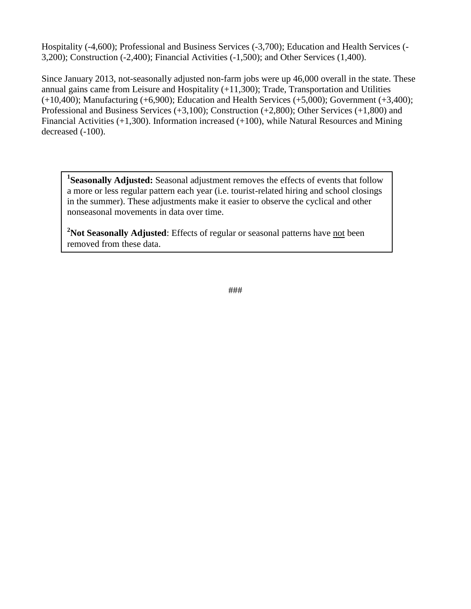Hospitality (-4,600); Professional and Business Services (-3,700); Education and Health Services (- 3,200); Construction (-2,400); Financial Activities (-1,500); and Other Services (1,400).

Since January 2013, not-seasonally adjusted non-farm jobs were up 46,000 overall in the state. These annual gains came from Leisure and Hospitality (+11,300); Trade, Transportation and Utilities  $(+10,400)$ ; Manufacturing  $(+6,900)$ ; Education and Health Services  $(+5,000)$ ; Government  $(+3,400)$ ; Professional and Business Services (+3,100); Construction (+2,800); Other Services (+1,800) and Financial Activities (+1,300). Information increased (+100), while Natural Resources and Mining decreased  $(-100)$ .

<sup>1</sup>Seasonally Adjusted: Seasonal adjustment removes the effects of events that follow a more or less regular pattern each year (i.e. tourist-related hiring and school closings in the summer). These adjustments make it easier to observe the cyclical and other nonseasonal movements in data over time.

<sup>2</sup>Not Seasonally Adjusted: Effects of regular or seasonal patterns have not been removed from these data.

###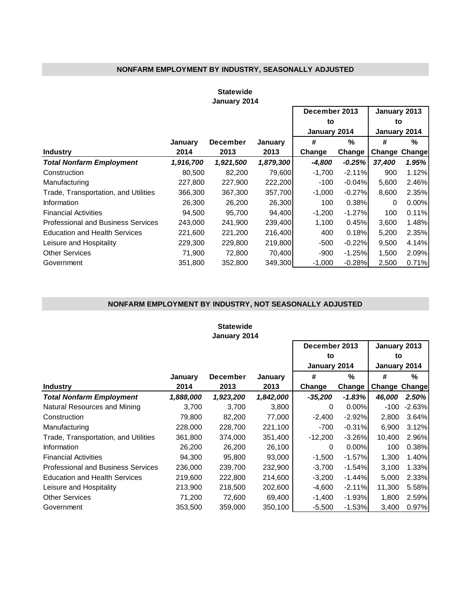### **NONFARM EMPLOYMENT BY INDUSTRY, SEASONALLY ADJUSTED**

#### **Statewide January 2014**

F

|                                      |           |                 |           | December 2013 |          | January 2013 |                      |  |
|--------------------------------------|-----------|-----------------|-----------|---------------|----------|--------------|----------------------|--|
|                                      |           |                 |           | to            |          | to           |                      |  |
|                                      |           |                 |           | January 2014  |          | January 2014 |                      |  |
|                                      | January   | <b>December</b> | January   | #             | %        | #            | %                    |  |
| <b>Industry</b>                      | 2014      | 2013            | 2013      | Change        | Change   |              | <b>Change Change</b> |  |
| <b>Total Nonfarm Employment</b>      | 1,916,700 | 1,921,500       | 1,879,300 | $-4,800$      | $-0.25%$ | 37,400       | 1.95%                |  |
| Construction                         | 80,500    | 82,200          | 79,600    | $-1,700$      | $-2.11%$ | 900          | 1.12%                |  |
| Manufacturing                        | 227,800   | 227,900         | 222,200   | $-100$        | $-0.04%$ | 5,600        | 2.46%                |  |
| Trade, Transportation, and Utilities | 366,300   | 367,300         | 357,700   | $-1,000$      | $-0.27%$ | 8,600        | 2.35%                |  |
| <b>Information</b>                   | 26,300    | 26,200          | 26,300    | 100           | 0.38%    | 0            | 0.00%                |  |
| <b>Financial Activities</b>          | 94,500    | 95,700          | 94,400    | $-1,200$      | $-1.27%$ | 100          | 0.11%                |  |
| Professional and Business Services   | 243,000   | 241,900         | 239,400   | 1,100         | 0.45%    | 3,600        | 1.48%                |  |
| <b>Education and Health Services</b> | 221,600   | 221,200         | 216,400   | 400           | 0.18%    | 5,200        | 2.35%                |  |
| Leisure and Hospitality              | 229,300   | 229,800         | 219,800   | -500          | $-0.22%$ | 9,500        | 4.14%                |  |
| <b>Other Services</b>                | 71.900    | 72.800          | 70.400    | -900          | $-1.25%$ | 1,500        | 2.09%                |  |
| Government                           | 351,800   | 352,800         | 349.300   | $-1,000$      | $-0.28%$ | 2,500        | 0.71%                |  |

#### **NONFARM EMPLOYMENT BY INDUSTRY, NOT SEASONALLY ADJUSTED**

| <b>Statewide</b>                          |               |                 |           |              |              |               |              |  |  |  |  |
|-------------------------------------------|---------------|-----------------|-----------|--------------|--------------|---------------|--------------|--|--|--|--|
| January 2014                              |               |                 |           |              |              |               |              |  |  |  |  |
|                                           | December 2013 |                 |           |              |              |               | January 2013 |  |  |  |  |
|                                           |               |                 | to        |              | to           |               |              |  |  |  |  |
|                                           |               |                 |           | January 2014 | January 2014 |               |              |  |  |  |  |
|                                           | January       | <b>December</b> | January   | #            | %            | #             | %            |  |  |  |  |
| <b>Industry</b>                           | 2014          | 2013            | 2013      | Change       | Change       | Change Change |              |  |  |  |  |
| <b>Total Nonfarm Employment</b>           | 1,888,000     | 1,923,200       | 1,842,000 | -35,200      | $-1.83%$     | 46,000        | $2.50\%$     |  |  |  |  |
| Natural Resources and Mining              | 3,700         | 3,700           | 3,800     | $\Omega$     | 0.00%        | $-100$        | $-2.63%$     |  |  |  |  |
| Construction                              | 79,800        | 82,200          | 77,000    | $-2,400$     | $-2.92%$     | 2,800         | 3.64%        |  |  |  |  |
| Manufacturing                             | 228,000       | 228,700         | 221,100   | -700         | $-0.31%$     | 6,900         | 3.12%        |  |  |  |  |
| Trade, Transportation, and Utilities      | 361,800       | 374,000         | 351,400   | $-12,200$    | $-3.26%$     | 10,400        | 2.96%        |  |  |  |  |
| Information                               | 26,200        | 26,200          | 26,100    | 0            | $0.00\%$     | 100           | 0.38%        |  |  |  |  |
| <b>Financial Activities</b>               | 94,300        | 95,800          | 93,000    | $-1,500$     | $-1.57%$     | 1,300         | 1.40%        |  |  |  |  |
| <b>Professional and Business Services</b> | 236,000       | 239,700         | 232,900   | $-3,700$     | $-1.54%$     | 3,100         | 1.33%        |  |  |  |  |
| <b>Education and Health Services</b>      | 219,600       | 222,800         | 214,600   | $-3,200$     | $-1.44%$     | 5,000         | 2.33%        |  |  |  |  |
| Leisure and Hospitality                   | 213,900       | 218,500         | 202,600   | $-4,600$     | $-2.11%$     | 11,300        | 5.58%        |  |  |  |  |
| <b>Other Services</b>                     | 71,200        | 72,600          | 69,400    | $-1,400$     | $-1.93%$     | 1,800         | 2.59%        |  |  |  |  |
| Government                                | 353,500       | 359,000         | 350,100   | $-5,500$     | $-1.53%$     | 3,400         | 0.97%        |  |  |  |  |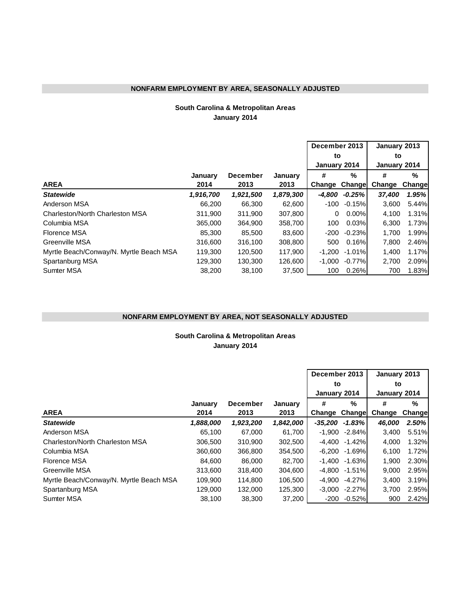#### **NONFARM EMPLOYMENT BY AREA, SEASONALLY ADJUSTED**

#### **January 2014 South Carolina & Metropolitan Areas**

|                                         |           |                 |           | December 2013 |           | January 2013 |         |  |
|-----------------------------------------|-----------|-----------------|-----------|---------------|-----------|--------------|---------|--|
|                                         |           |                 |           | to            |           | to           |         |  |
|                                         |           |                 |           | January 2014  |           | January 2014 |         |  |
|                                         | January   | <b>December</b> | January   | #             | %         | #            | %       |  |
| <b>AREA</b>                             | 2014      | 2013            | 2013      | Change        | Change    | Change       | Changel |  |
| <b>Statewide</b>                        | 1,916,700 | 1,921,500       | 1,879,300 | -4.800        | $-0.25%$  | 37,400       | 1.95%   |  |
| Anderson MSA                            | 66,200    | 66,300          | 62,600    | -100          | $-0.15%$  | 3,600        | 5.44%   |  |
| Charleston/North Charleston MSA         | 311,900   | 311,900         | 307,800   | 0             | $0.00\%$  | 4,100        | 1.31%   |  |
| Columbia MSA                            | 365,000   | 364,900         | 358,700   | 100           | 0.03%     | 6,300        | 1.73%   |  |
| Florence MSA                            | 85,300    | 85,500          | 83,600    | -200          | $-0.23%$  | 1.700        | 1.99%   |  |
| Greenville MSA                          | 316,600   | 316,100         | 308,800   | 500           | 0.16%     | 7,800        | 2.46%   |  |
| Myrtle Beach/Conway/N. Myrtle Beach MSA | 119.300   | 120,500         | 117.900   | -1.200        | $-1.01\%$ | 1.400        | 1.17%   |  |
| Spartanburg MSA                         | 129,300   | 130.300         | 126,600   | $-1.000$      | $-0.77%$  | 2,700        | 2.09%   |  |
| <b>Sumter MSA</b>                       | 38,200    | 38,100          | 37,500    | 100           | 0.26%     | 700          | 1.83%   |  |

#### **NONFARM EMPLOYMENT BY AREA, NOT SEASONALLY ADJUSTED**

**January 2014 South Carolina & Metropolitan Areas**

|                                         |           |                 |           | December 2013 |                   | January 2013<br>to<br>January 2014 |          |  |
|-----------------------------------------|-----------|-----------------|-----------|---------------|-------------------|------------------------------------|----------|--|
|                                         |           |                 |           | to            |                   |                                    |          |  |
|                                         |           |                 |           | January 2014  |                   |                                    |          |  |
|                                         | January   | <b>December</b> | January   | #             | %                 | #                                  | %        |  |
| <b>AREA</b>                             | 2014      | 2013            | 2013      | Change        | Change            | Change                             | Changel  |  |
| <b>Statewide</b>                        | 1,888,000 | 1,923,200       | 1,842,000 | $-35.200$     | $-1.83%$          | 46.000                             | $2.50\%$ |  |
| Anderson MSA                            | 65,100    | 67,000          | 61,700    | $-1,900$      | -2.84%            | 3,400                              | 5.51%    |  |
| Charleston/North Charleston MSA         | 306,500   | 310,900         | 302,500   | -4.400        | $-1.42%$          | 4,000                              | 1.32%    |  |
| Columbia MSA                            | 360,600   | 366,800         | 354,500   | -6.200        | -1.69%            | 6,100                              | 1.72%    |  |
| Florence MSA                            | 84,600    | 86,000          | 82,700    |               | $-1.400 - 1.63%$  | 1,900                              | 2.30%    |  |
| <b>Greenville MSA</b>                   | 313,600   | 318,400         | 304,600   |               | $-4.800 - 1.51\%$ | 9,000                              | 2.95%    |  |
| Myrtle Beach/Conway/N. Myrtle Beach MSA | 109,900   | 114,800         | 106,500   | -4.900        | $-4.27\%$         | 3,400                              | 3.19%    |  |
| Spartanburg MSA                         | 129,000   | 132,000         | 125,300   | $-3,000$      | $-2.27%$          | 3,700                              | 2.95%    |  |
| <b>Sumter MSA</b>                       | 38,100    | 38,300          | 37,200    | -200          | $-0.52\%$         | 900                                | 2.42%    |  |